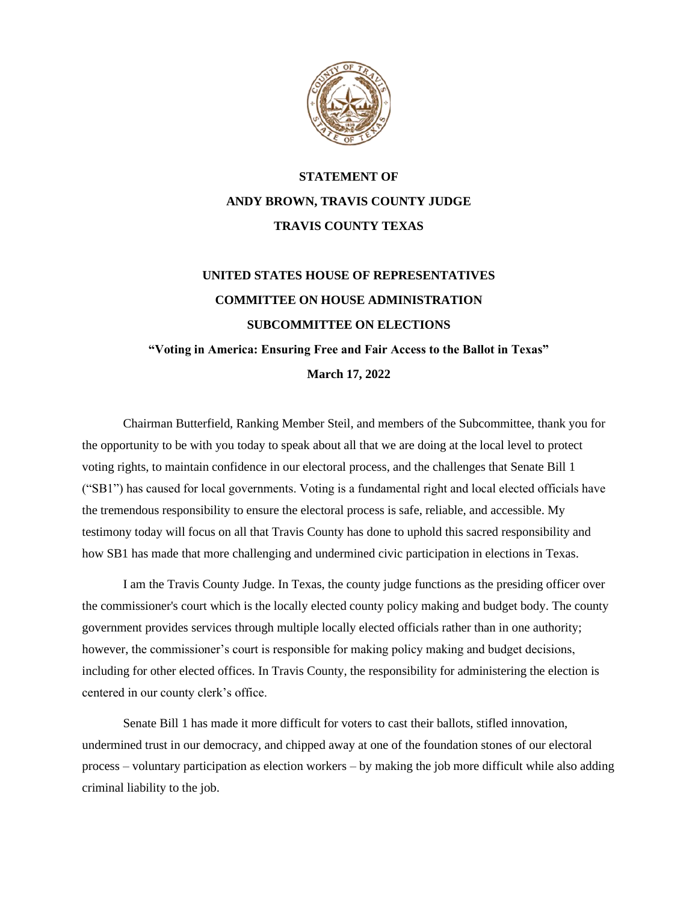

## **STATEMENT OF ANDY BROWN, TRAVIS COUNTY JUDGE TRAVIS COUNTY TEXAS**

# **UNITED STATES HOUSE OF REPRESENTATIVES COMMITTEE ON HOUSE ADMINISTRATION SUBCOMMITTEE ON ELECTIONS "Voting in America: Ensuring Free and Fair Access to the Ballot in Texas" March 17, 2022**

Chairman Butterfield, Ranking Member Steil, and members of the Subcommittee, thank you for the opportunity to be with you today to speak about all that we are doing at the local level to protect voting rights, to maintain confidence in our electoral process, and the challenges that Senate Bill 1 ("SB1") has caused for local governments. Voting is a fundamental right and local elected officials have the tremendous responsibility to ensure the electoral process is safe, reliable, and accessible. My testimony today will focus on all that Travis County has done to uphold this sacred responsibility and how SB1 has made that more challenging and undermined civic participation in elections in Texas.

I am the Travis County Judge. In Texas, the county judge functions as the presiding officer over the commissioner's court which is the locally elected county policy making and budget body. The county government provides services through multiple locally elected officials rather than in one authority; however, the commissioner's court is responsible for making policy making and budget decisions, including for other elected offices. In Travis County, the responsibility for administering the election is centered in our county clerk's office.

Senate Bill 1 has made it more difficult for voters to cast their ballots, stifled innovation, undermined trust in our democracy, and chipped away at one of the foundation stones of our electoral process – voluntary participation as election workers – by making the job more difficult while also adding criminal liability to the job.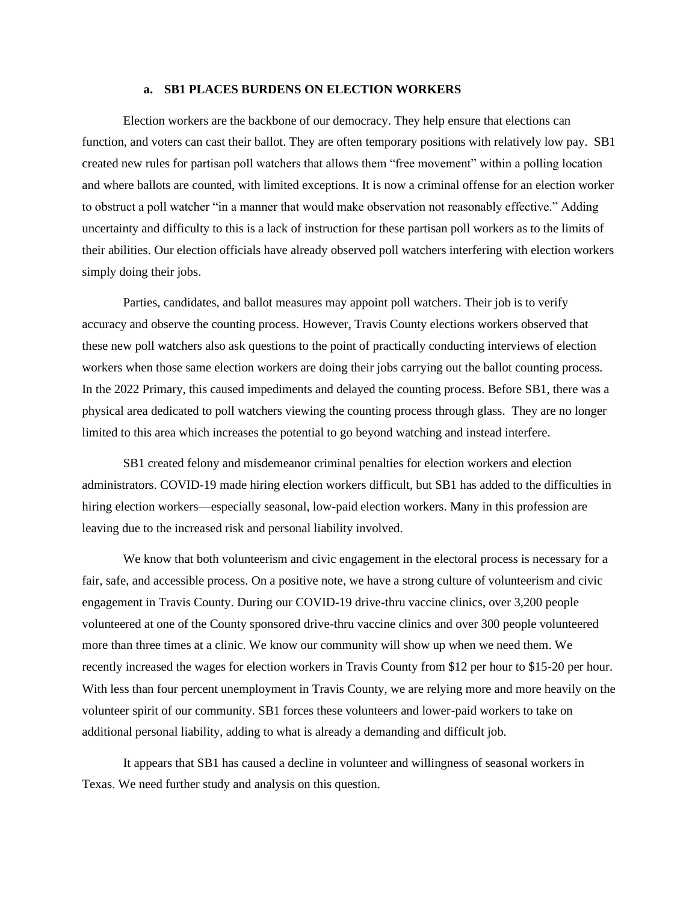#### **a. SB1 PLACES BURDENS ON ELECTION WORKERS**

Election workers are the backbone of our democracy. They help ensure that elections can function, and voters can cast their ballot. They are often temporary positions with relatively low pay. SB1 created new rules for partisan poll watchers that allows them "free movement" within a polling location and where ballots are counted, with limited exceptions. It is now a criminal offense for an election worker to obstruct a poll watcher "in a manner that would make observation not reasonably effective." Adding uncertainty and difficulty to this is a lack of instruction for these partisan poll workers as to the limits of their abilities. Our election officials have already observed poll watchers interfering with election workers simply doing their jobs.

Parties, candidates, and ballot measures may appoint poll watchers. Their job is to verify accuracy and observe the counting process. However, Travis County elections workers observed that these new poll watchers also ask questions to the point of practically conducting interviews of election workers when those same election workers are doing their jobs carrying out the ballot counting process. In the 2022 Primary, this caused impediments and delayed the counting process. Before SB1, there was a physical area dedicated to poll watchers viewing the counting process through glass. They are no longer limited to this area which increases the potential to go beyond watching and instead interfere.

SB1 created felony and misdemeanor criminal penalties for election workers and election administrators. COVID-19 made hiring election workers difficult, but SB1 has added to the difficulties in hiring election workers—especially seasonal, low-paid election workers. Many in this profession are leaving due to the increased risk and personal liability involved.

We know that both volunteerism and civic engagement in the electoral process is necessary for a fair, safe, and accessible process. On a positive note, we have a strong culture of volunteerism and civic engagement in Travis County. During our COVID-19 drive-thru vaccine clinics, over 3,200 people volunteered at one of the County sponsored drive-thru vaccine clinics and over 300 people volunteered more than three times at a clinic. We know our community will show up when we need them. We recently increased the wages for election workers in Travis County from \$12 per hour to \$15-20 per hour. With less than four percent unemployment in Travis County, we are relying more and more heavily on the volunteer spirit of our community. SB1 forces these volunteers and lower-paid workers to take on additional personal liability, adding to what is already a demanding and difficult job.

It appears that SB1 has caused a decline in volunteer and willingness of seasonal workers in Texas. We need further study and analysis on this question.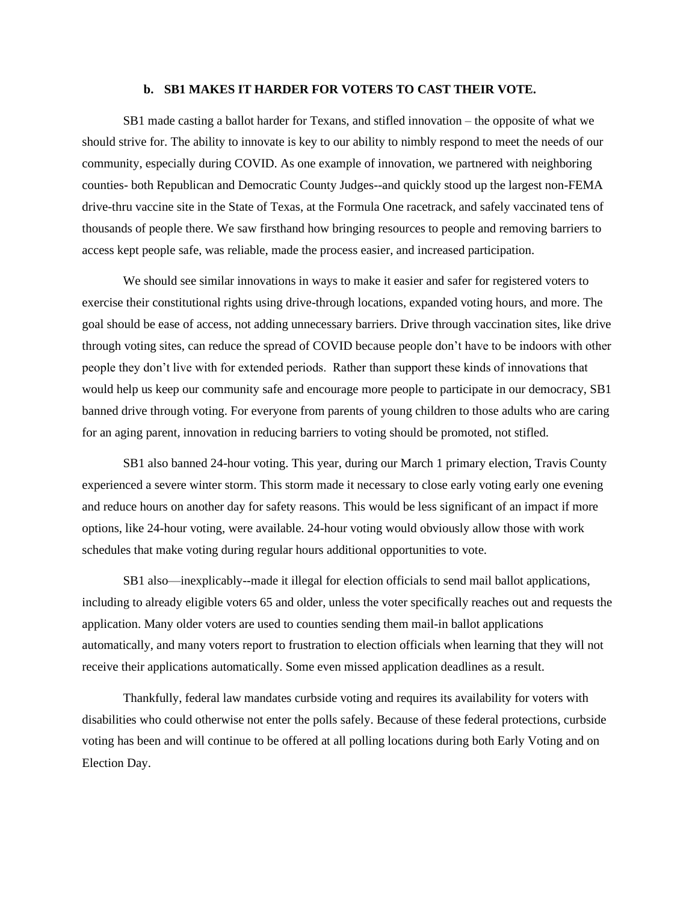#### **b. SB1 MAKES IT HARDER FOR VOTERS TO CAST THEIR VOTE.**

SB1 made casting a ballot harder for Texans, and stifled innovation – the opposite of what we should strive for. The ability to innovate is key to our ability to nimbly respond to meet the needs of our community, especially during COVID. As one example of innovation, we partnered with neighboring counties- both Republican and Democratic County Judges--and quickly stood up the largest non-FEMA drive-thru vaccine site in the State of Texas, at the Formula One racetrack, and safely vaccinated tens of thousands of people there. We saw firsthand how bringing resources to people and removing barriers to access kept people safe, was reliable, made the process easier, and increased participation.

We should see similar innovations in ways to make it easier and safer for registered voters to exercise their constitutional rights using drive-through locations, expanded voting hours, and more. The goal should be ease of access, not adding unnecessary barriers. Drive through vaccination sites, like drive through voting sites, can reduce the spread of COVID because people don't have to be indoors with other people they don't live with for extended periods. Rather than support these kinds of innovations that would help us keep our community safe and encourage more people to participate in our democracy, SB1 banned drive through voting. For everyone from parents of young children to those adults who are caring for an aging parent, innovation in reducing barriers to voting should be promoted, not stifled.

SB1 also banned 24-hour voting. This year, during our March 1 primary election, Travis County experienced a severe winter storm. This storm made it necessary to close early voting early one evening and reduce hours on another day for safety reasons. This would be less significant of an impact if more options, like 24-hour voting, were available. 24-hour voting would obviously allow those with work schedules that make voting during regular hours additional opportunities to vote.

SB1 also—inexplicably--made it illegal for election officials to send mail ballot applications, including to already eligible voters 65 and older, unless the voter specifically reaches out and requests the application. Many older voters are used to counties sending them mail-in ballot applications automatically, and many voters report to frustration to election officials when learning that they will not receive their applications automatically. Some even missed application deadlines as a result.

Thankfully, federal law mandates curbside voting and requires its availability for voters with disabilities who could otherwise not enter the polls safely. Because of these federal protections, curbside voting has been and will continue to be offered at all polling locations during both Early Voting and on Election Day.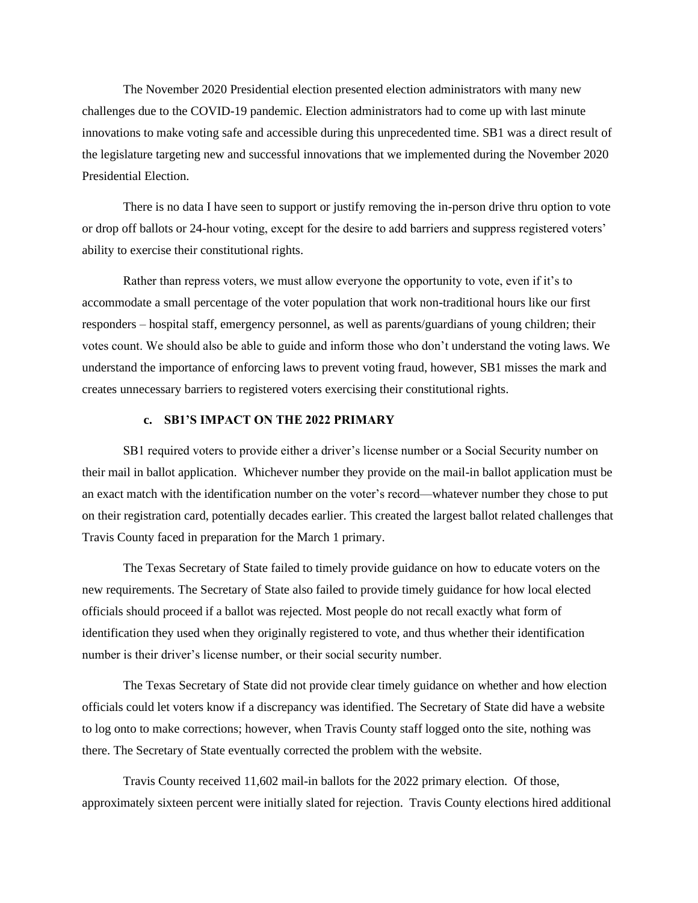The November 2020 Presidential election presented election administrators with many new challenges due to the COVID-19 pandemic. Election administrators had to come up with last minute innovations to make voting safe and accessible during this unprecedented time. SB1 was a direct result of the legislature targeting new and successful innovations that we implemented during the November 2020 Presidential Election.

There is no data I have seen to support or justify removing the in-person drive thru option to vote or drop off ballots or 24-hour voting, except for the desire to add barriers and suppress registered voters' ability to exercise their constitutional rights.

Rather than repress voters, we must allow everyone the opportunity to vote, even if it's to accommodate a small percentage of the voter population that work non-traditional hours like our first responders – hospital staff, emergency personnel, as well as parents/guardians of young children; their votes count. We should also be able to guide and inform those who don't understand the voting laws. We understand the importance of enforcing laws to prevent voting fraud, however, SB1 misses the mark and creates unnecessary barriers to registered voters exercising their constitutional rights.

#### **c. SB1'S IMPACT ON THE 2022 PRIMARY**

SB1 required voters to provide either a driver's license number or a Social Security number on their mail in ballot application. Whichever number they provide on the mail-in ballot application must be an exact match with the identification number on the voter's record—whatever number they chose to put on their registration card, potentially decades earlier. This created the largest ballot related challenges that Travis County faced in preparation for the March 1 primary.

The Texas Secretary of State failed to timely provide guidance on how to educate voters on the new requirements. The Secretary of State also failed to provide timely guidance for how local elected officials should proceed if a ballot was rejected. Most people do not recall exactly what form of identification they used when they originally registered to vote, and thus whether their identification number is their driver's license number, or their social security number.

The Texas Secretary of State did not provide clear timely guidance on whether and how election officials could let voters know if a discrepancy was identified. The Secretary of State did have a website to log onto to make corrections; however, when Travis County staff logged onto the site, nothing was there. The Secretary of State eventually corrected the problem with the website.

Travis County received 11,602 mail-in ballots for the 2022 primary election. Of those, approximately sixteen percent were initially slated for rejection. Travis County elections hired additional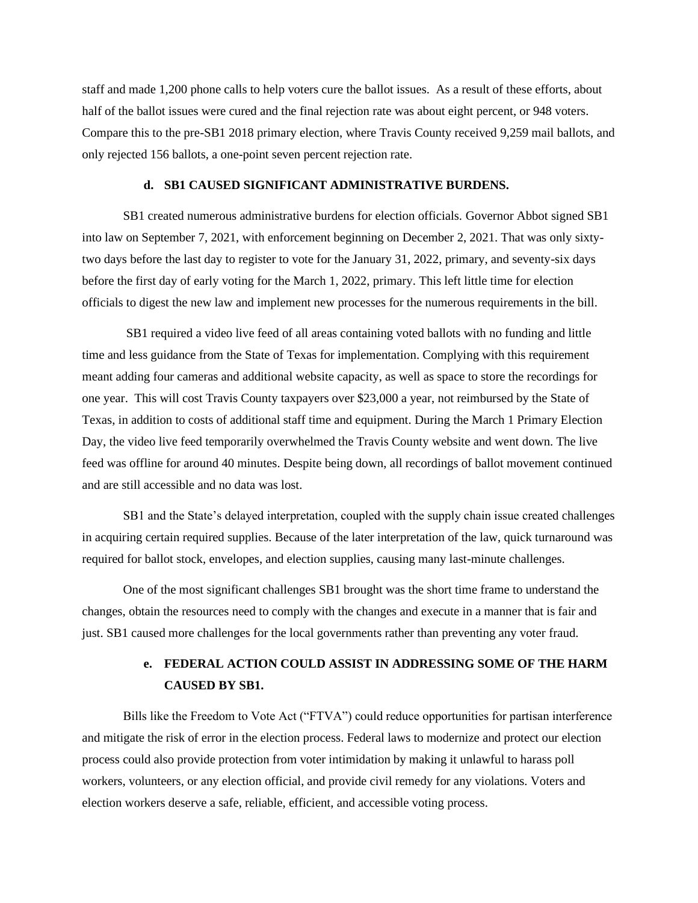staff and made 1,200 phone calls to help voters cure the ballot issues. As a result of these efforts, about half of the ballot issues were cured and the final rejection rate was about eight percent, or 948 voters. Compare this to the pre-SB1 2018 primary election, where Travis County received 9,259 mail ballots, and only rejected 156 ballots, a one-point seven percent rejection rate.

#### **d. SB1 CAUSED SIGNIFICANT ADMINISTRATIVE BURDENS.**

SB1 created numerous administrative burdens for election officials. Governor Abbot signed SB1 into law on September 7, 2021, with enforcement beginning on December 2, 2021. That was only sixtytwo days before the last day to register to vote for the January 31, 2022, primary, and seventy-six days before the first day of early voting for the March 1, 2022, primary. This left little time for election officials to digest the new law and implement new processes for the numerous requirements in the bill.

SB1 required a video live feed of all areas containing voted ballots with no funding and little time and less guidance from the State of Texas for implementation. Complying with this requirement meant adding four cameras and additional website capacity, as well as space to store the recordings for one year. This will cost Travis County taxpayers over \$23,000 a year, not reimbursed by the State of Texas, in addition to costs of additional staff time and equipment. During the March 1 Primary Election Day, the video live feed temporarily overwhelmed the Travis County website and went down. The live feed was offline for around 40 minutes. Despite being down, all recordings of ballot movement continued and are still accessible and no data was lost.

SB1 and the State's delayed interpretation, coupled with the supply chain issue created challenges in acquiring certain required supplies. Because of the later interpretation of the law, quick turnaround was required for ballot stock, envelopes, and election supplies, causing many last-minute challenges.

One of the most significant challenges SB1 brought was the short time frame to understand the changes, obtain the resources need to comply with the changes and execute in a manner that is fair and just. SB1 caused more challenges for the local governments rather than preventing any voter fraud.

### **e. FEDERAL ACTION COULD ASSIST IN ADDRESSING SOME OF THE HARM CAUSED BY SB1.**

Bills like the Freedom to Vote Act ("FTVA") could reduce opportunities for partisan interference and mitigate the risk of error in the election process. Federal laws to modernize and protect our election process could also provide protection from voter intimidation by making it unlawful to harass poll workers, volunteers, or any election official, and provide civil remedy for any violations. Voters and election workers deserve a safe, reliable, efficient, and accessible voting process.